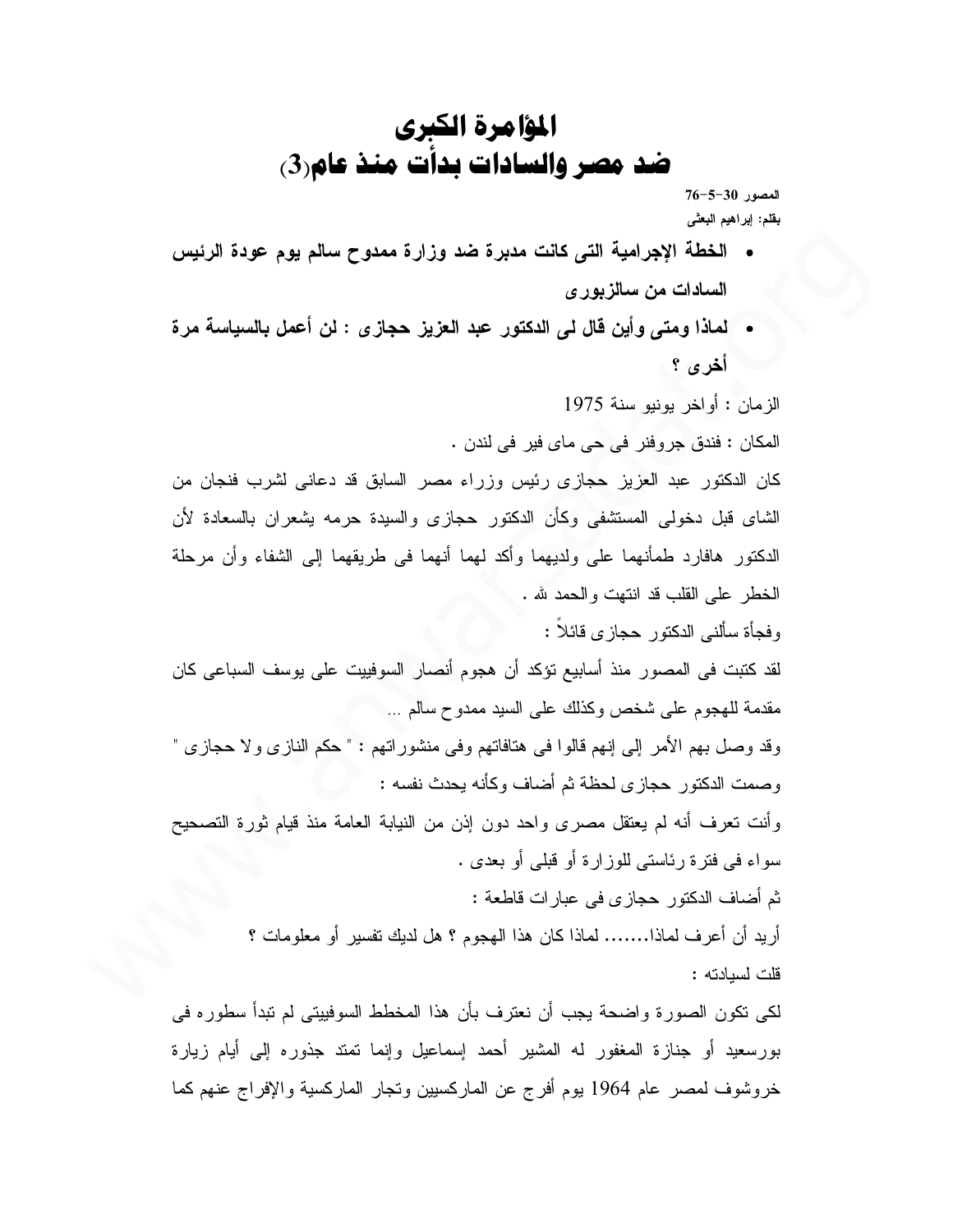## المؤامرة الكبري ضد مصر والسادات بدات منذ عام(3)

 $76 - 5 - 30$  المصور بقلم: إبراهيم البعثى

- الخطة الإجرامية التي كانت مدبرة ضد وزارة ممدوح سالم يوم عودة الرئيس السادات من سالزبور ي
- لماذا ومتى وأين قال لي الدكتور عبد العزيز حجاز ي : لن أعمل بالسياسة مرة أخرى ؟

الزمان : أو اخر بونبو سنة 1975 المكان : فندق جروفنر في حي ماي فير في لندن . كان الدكتور عبد العزيز حجازى رئيس وزراء مصر السابق قد دعانى لشرب فنجان من الشاي قبل دخولي المستشفى وكأن الدكتور حجازي والسيدة حرمه بشعران بالسعادة لأن الدكتور ٍ هافارد طمأنهما على ولديهما وأكد لهما أنهما في طريقهما إلى الشفاء وأن مرحلة الخطر على القلب قد انتهت والحمد لله . وفجأة سألنبي الدكتور حجازي فائلاً : لقد كتبت في المصور منذ أسابيع تؤكد أن هجوم أنصار السوفييت على يوسف السباعي كان مقدمة للهجوم على شخص وكذلك على السيد ممدوح سالم … وقد وصل بهم الأمر إلى إنهم قالوا في هنافاتهم وفي منشوراتهم : " حكم النازي ولا حجازي " وصمت الدكتور حجازي لحظة ثم أضاف وكأنه بحدث نفسه : وأنت تعرف أنه لم يعتقل مصرى واحد دون إذن من النيابة العامة منذ قيام ثورة التصحيح سواء في فترة رئاستي للوزارة أو قبلي أو بعدي . ثم أضاف الدكتور حجازي في عبارات قاطعة : أريد أن أعرف لماذا....... لماذا كان هذا الهجوم ؟ هل لديك نفسير أو معلومات ؟ قلت لسيادته :

لكي تكون الصور ة واضحة يجب أن نعتر ف بأن هذا المخطط السوفييتي لم تبدأ سطور ه في بورسعيد أو جنازة المغفور له المشير أحمد إسماعيل وإنما تمتد جذوره إلى أيام زيارة خروشوف لمصر عام 1964 بوم أفرج عن الماركسيين ونجار الماركسية والإفراج عنهم كما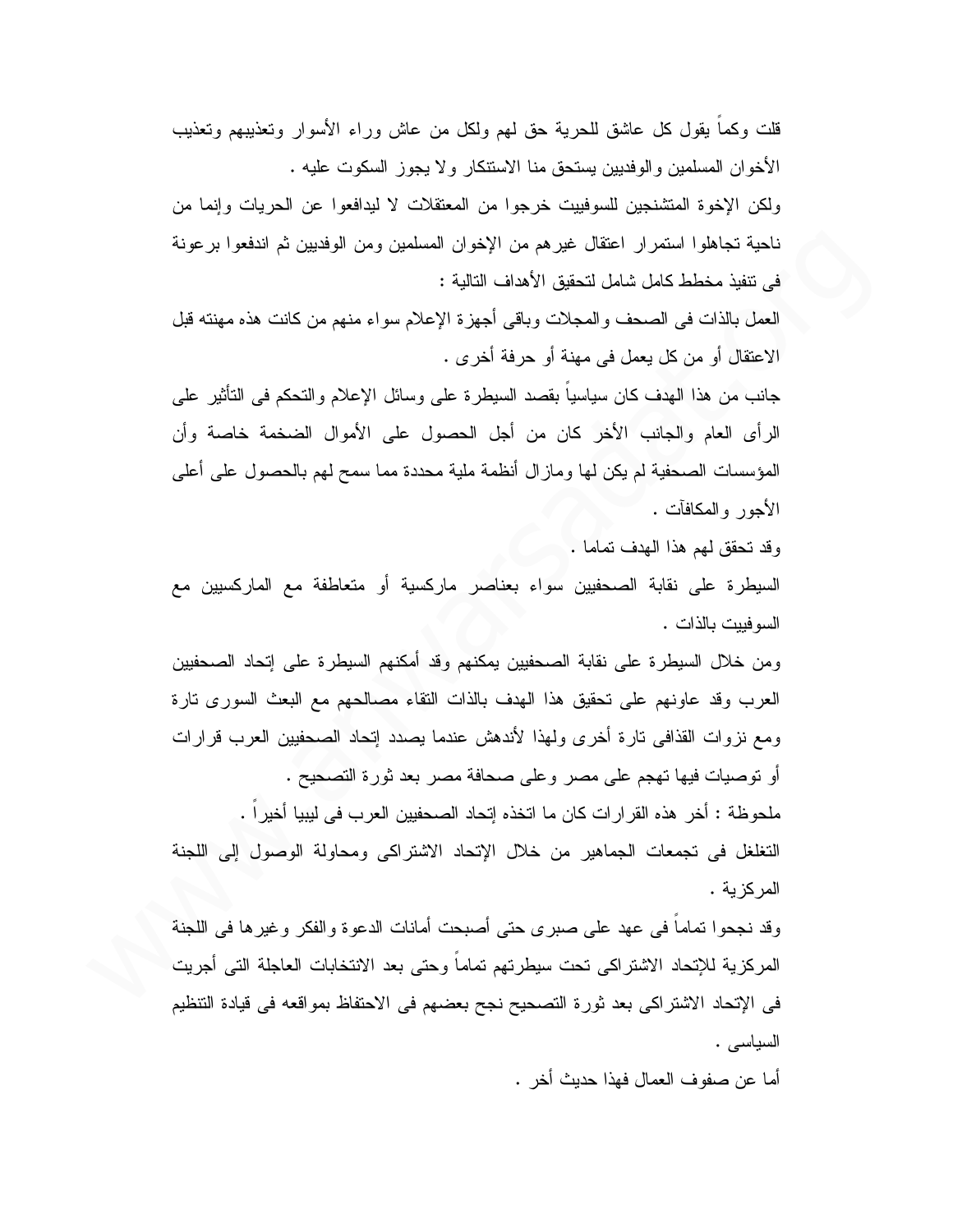قلت وكماً يقول كل عاشق للحرية حق لمهم ولكل من عاش وراء الأسوار وتعذيبهم وتعذيب الأخوان المسلمين والوفديين يستحق منا الاستنكار ولا يجوز السكوت عليه . ولكن الإخوة المتشنجين للسوفييت خرجوا من المعتقلات لا ليدافعوا عن الحريات وإنما من ناحية تجاهلوا استمرار اعتقال غيرهم من الإخوان المسلمين ومن الوفديين ثم اندفعوا برعونة في نتفيذ مخطط كامل شامل لتحقيق الأهداف التالية : العمل بالذات في الصحف والمجلات وباقي أجهزة الإعلام سواء منهم من كانت هذه مهنته قبل الاعتقال أو من كل يعمل في مهنة أو حرفة أخرى . جانب من هذا الهدف كان سياسياً بقصد السيطرة على وسائل الإعلام والنحكم في النَّاثير على الرأى العام والجانب الأخر كان من أجل الحصول على الأموال الضخمة خاصة وأن المؤسسات الصحفية لم يكن لها ومازال أنظمة ملية محددة مما سمح لهم بالحصول على أعلى الأجور والمكافآت . وقد تحقق لهم هذا الهدف تماما . السيطرة على نقابة الصحفيين سواء بعناصر ماركسية أو متعاطفة مع الماركسيين مع السوفييت بالذات . ومن خلال السيطرة على نقابة الصحفيين بمكنهم وقد أمكنهم السيطرة على إتحاد الصحفيين العرب وقد عاونهم على نحقيق هذا الهدف بالذات النقاء مصالحهم مع البعث السوري نارة ومع نزوات القذافي نارة أخرى ولمهذا لأندهش عندما يصدد إتحاد الصحفيين العرب قرارات أو توصيات فيها تهجم على مصر وعلى صحافة مصر بعد ثورة التصحيح . ملحوظة : أخر هذه القرار ات كان ما اتخذه إتحاد الصحفيين العرب في ليبيا أخير ا . التغلغل في تجمعات الجماهير من خلال الإتحاد الاشتراكي ومحاولة الوصول إلى اللجنة المركزية . وقد نجحوا نماماً في عهد على صبرى حتى أصبحت أمانات الدعوة والفكر وغيرها في اللجنة المركزية للإتحاد الاشتراكي تحت سيطرتهم تماماً وحتى بعد الانتخابات العاجلة التي أجريت في الإتحاد الاشتراكي بعد ثورة التصحيح نجح بعضهم في الاحتفاظ بمواقعه في قيادة التتظيم

السياسي .

أما عن صفوف العمال فهذا حديث أخر .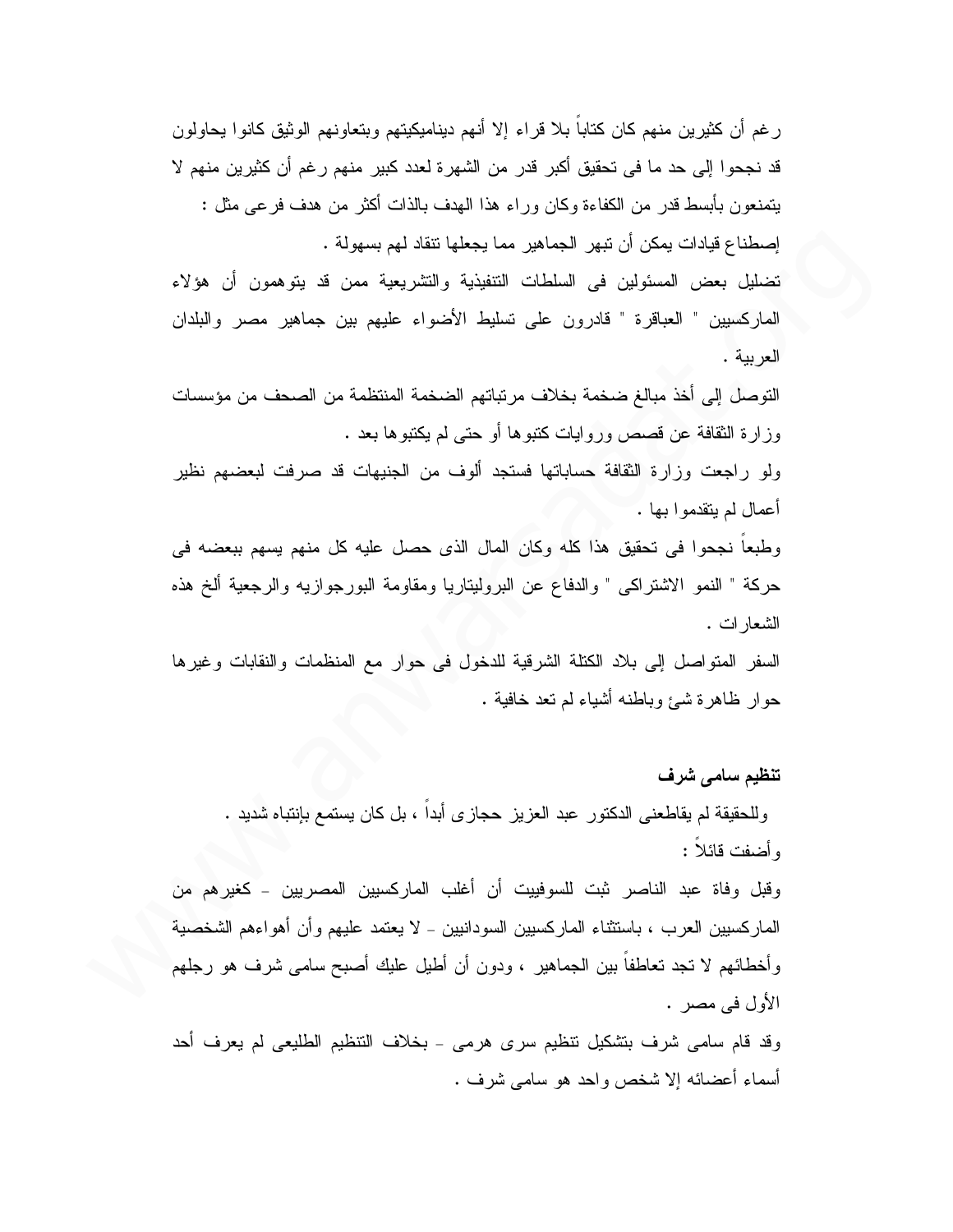رغم أن كثيرين منهم كان كتاباً بلا قراء إلا أنهم ديناميكيتهم وبتعاونهم الوثيق كانوا يحاولون قد نجحوا إلى حد ما في تحقيق أكبر قدر من الشهرة لعدد كبير منهم رغم أن كثيرين منهم لا يتمنعون بأبسط قدر ٍ من الكفاءة وكان وراء هذا الهدف بالذات أكثر ٍ من هدف فر عي مثل : إصطناع قيادات يمكن أن نبهر الجماهير مما يجعلها نتقاد لهم بسهولة .

تضليل بعض المسئولين في السلطات التنفيذية والتشريعية ممن قد يتوهمون أن هؤلاء الماركسيين " العباقرة " قادرون على تسليط الأضواء عليهم بين جماهير مصر والبلدان العربية .

التوصل إلى أخذ مبالغ ضخمة بخلاف مرتباتهم الضخمة المنتظمة من الصحف من مؤسسات وز ارة الثقافة عن قصص وروايات كتبوها أو حتى لم يكتبوها بعد .

ولو راجعت وزارة الثقافة حساباتها فستجد ألوف من الجنيهات قد صرفت لبعضهم نظير أعمال لم يتقدموا بـها .

وطبعا نجحوا في تحقيق هذا كله وكان المال الذي حصل عليه كل منهم يسهم ببعضه في حركة " النمو الاشتراكي " والدفاع عن البروليتاريا ومقاومة البورجوازيه والرجعية ألخ هذه الشعار ات .

السفر المنواصل إلى بلاد الكتلة الشرقية للدخول في حوار مع المنظمات والنقابات وغيرها حوار ظاهرة شيئ وباطنه أشياء لم نعد خافية .

## تنظيم سامي شرف

وللحقيقة لم يقاطعني الدكتور ٍ عبد العزيز حجازي أبدا ، بل كان يستمع بإنتباه شديد . و أضفت قائلا :

وقبل وفاة عبد الناصر ثبت للسوفييت أن أغلب الماركسيين المصريين – كغيرهم من الماركسبين العرب ، باستثناء الماركسبين السودانبين ـ لا يعتمد عليهم وأن أهواءهم الشخصية وأخطائهم لا نجد نعاطفاً بين الجماهير ، ودون أن أطيل عليك أصبح سامي شرف هو رجلهم الأول في مصر .

وقد قام سامی شرف بتشکیل نتظیم سری هرمی - بخلاف التنظیم الطلیعی لم یعرف أحد أسماء أعضائه إلا شخص واحد هو سامبي شرف .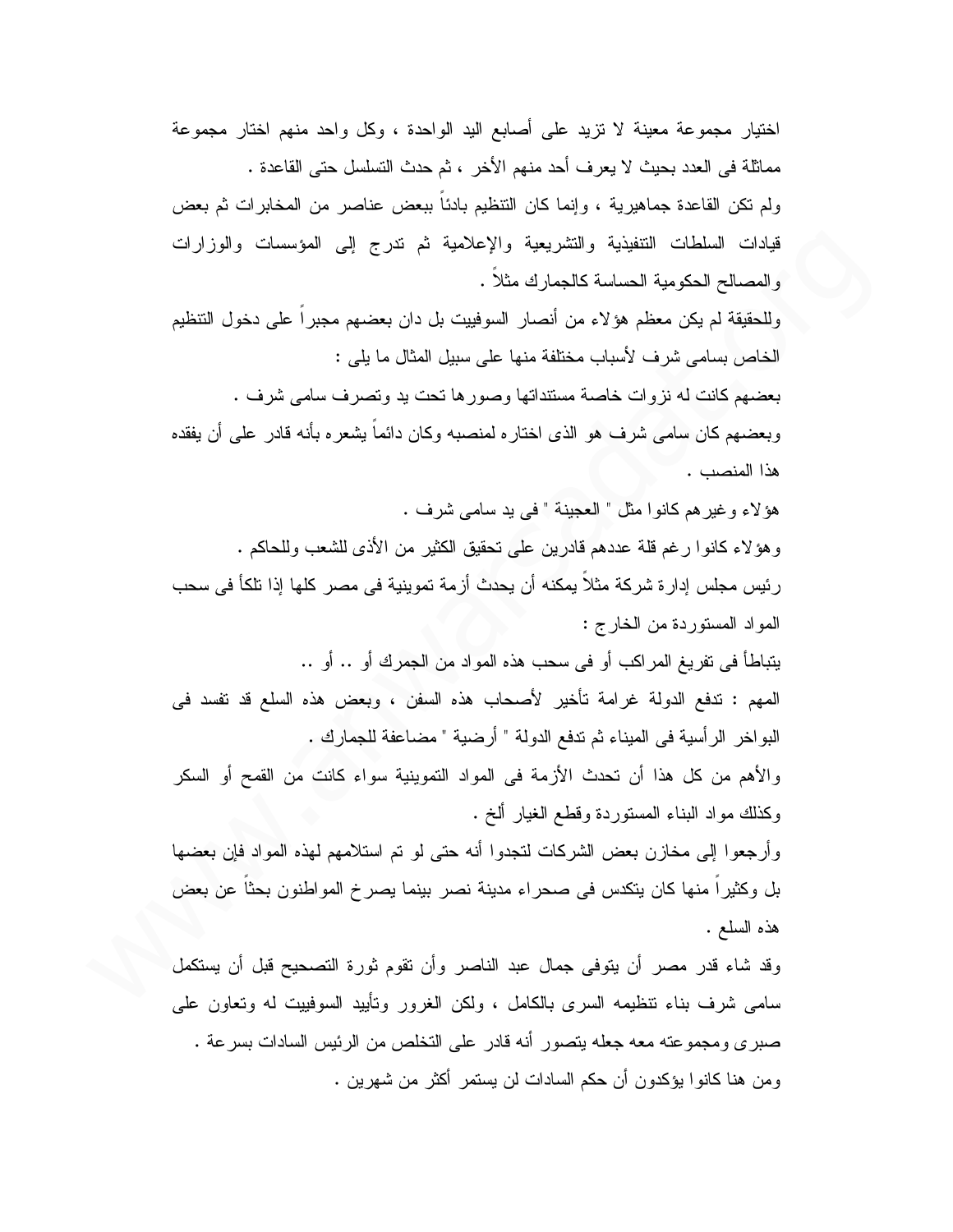اختيار مجموعة معينة لا نزيد على أصابع اليد الواحدة ، وكل واحد منهم اختار مجموعة مماثلة في العدد بحيث لا يعرف أحد منهم الأخر ، ثم حدث التسلسل حتى القاعدة . ولم تكن القاعدة جماهيرية ، وإنما كان التنظيم بادئاً ببعض عناصر من المخابر ات ثم بعض قيادات السلطات التنفيذية والتشريعية والإعلامية ثم ندرج إلى المؤسسات والوزارات والمصالح الحكومية الحساسة كالجمارك مثلا . وللحقيقة لم يكن معظم هؤلاء من أنصار السوفييت بل دان بعضهم مجبراً على دخول التتظيم الخاص بسامي شرف لأسباب مختلفة منها على سبيل المثال ما يلي : بعضهم كانت له نزوات خاصة مستنداتها وصور ها نحت بد ونصرف سامى شرف . وبعضهم كان سامي شرف هو الذي اختاره لمنصبه وكان دائماً بِشعره بأنه قادر على أن يفقده هذا المنصب . هؤلاء وغيرهم كانوا مثل " العجينة " في يد سامي شرف . وهؤ لاء كانوا رغم قلَّة عددهم قادرين على تحقيق الكثير من الأذى للشعب وللحاكم . رئيس مجلس إدار ة شركة مثلاً بِمكنه أن يحدث أزمة تموينية في مصر كلها إذا نلكأ في سحب المواد المستوردة من الخارج : يتباطأ في تفريغ المراكب أو في سحب هذه المواد من الجمرك أو .. أو .. المهم : ندفع الدولة غرامة تأخير لأصحاب هذه السفن ، وبعض هذه السلع قد نفسد في البواخر الرأسية في الميناء ثم تدفع الدولة " أرضية " مضاعفة للجمارك . والأهم من كل هذا أن تحدث الأزمة في المواد التموينية سواء كانت من القمح أو السكر وكذلك مواد البناء المستوردة وقطع الغيار ألخ . وأرجعوا إلى مخازن بعض الشركات لنجدوا أنه حتى لو تم استلامهم لهذه المواد فإن بعضها بل وكثيرًا منها كان يتكدس في صحراء مدينة نصر بينما يصرخ المواطنون بحثًا عن بعض هذه السلع . وقد شاء قدر مصر أن يتوفى جمال عبد الناصر وأن تقوم ثورة التصحيح قبل أن يستكمل سامی شرف بناء نتظیمه السری بالکامل ، ولکن الغرور ونأیید السوفییت له ونعاون علی صبري ومجموعته معه جعله يتصور أنه قادر على التخلص من الرئيس السادات بسرعة . ومن هنا كانوا يؤكدون أن حكم السادات لن يستمر أكثر من شهرين .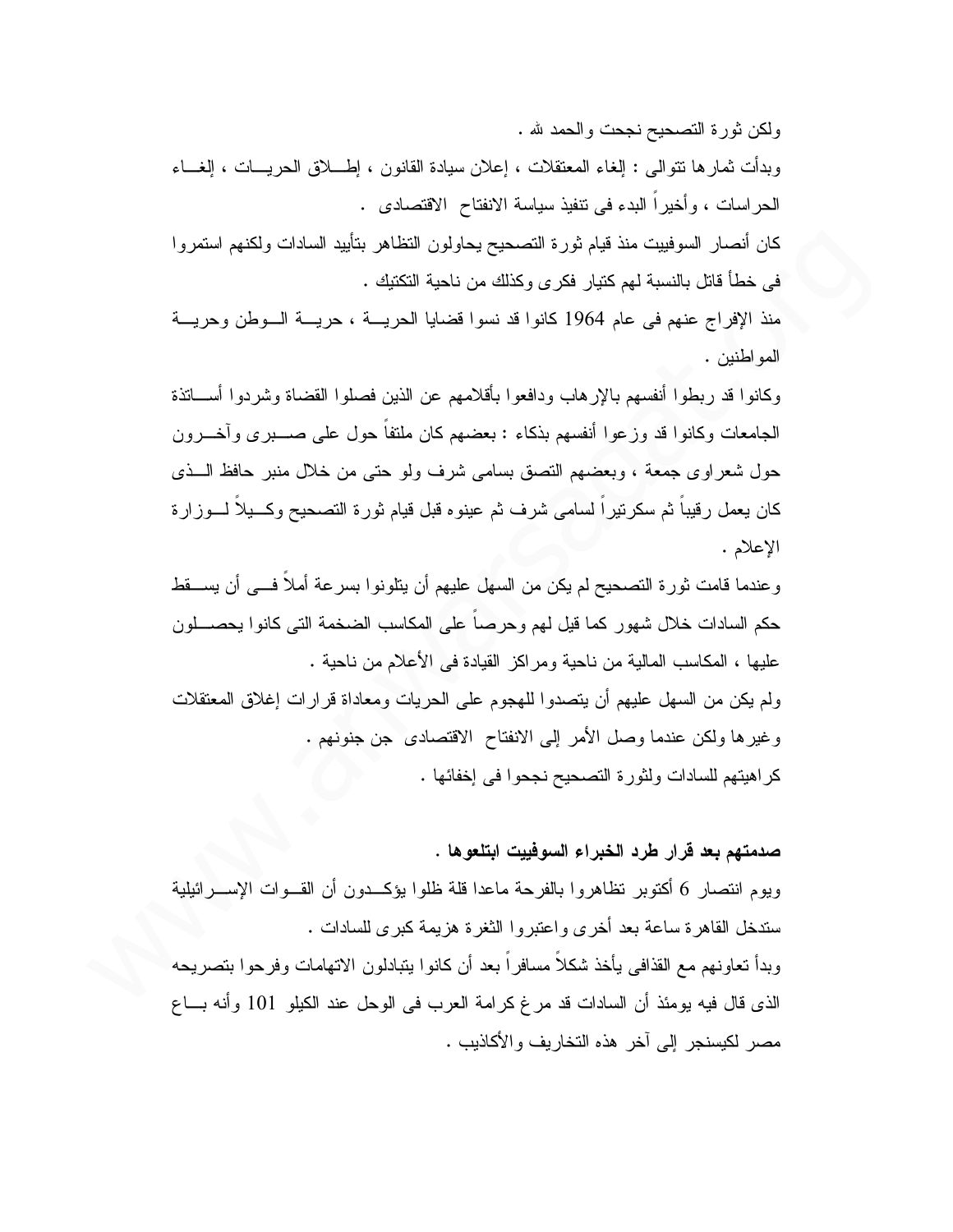ولكن ثورة التصحيح نجحت والحمد لله .

وبدأت ثمارها نتوالى : إلغاء المعتقلات ، إعلان سيادة القانون ، إطـــــلاق الـحريــــات ، إلغــــاء الحر اسات ، و أخير ا البدء في نتفيذ سياسة الانفتاح الاقتصادي .

كان أنصار السوفييت منذ قيام ثورة التصحيح يحاولون التظاهر بتأييد السادات ولكنهم استمروا في خطأ قاتل بالنسبة لهم كتيار فكر ي وكذلك من ناحية التكتيك .

منذ الإفراج عنهم في عام 1964 كانوا قد نسوا قضايا الحريسة ، حريسة السوطن وحريسة المو اطنين .

وكانوا قد ربطوا أنفسهم بالإر هاب ودافعوا بأقلامهم عن الذين فصلوا القضاة وشردوا أســـاتذة الجامعات وكانوا قد وزعوا أنفسهم بذكاء : بعضهم كان ملنفاً حول على صـــــبرى وآخــــرون حول شعراوي جمعة ، وبعضهم النصق بسامي شرف ولو حتى من خلال منبر حافظ الـــذي كان يعمل رقيبا ثم سكرتيرا لسامي شرف ثم عينوه قبل قيام ثورة التصحيح وكسيلا لسوزارة الإعلام .

و عندما قامت ثور ة التصحيح لم يكن من السهل عليهم أن يتلونوا بسر عة أملاً فـــى أن يســـقط حكم السادات خلال شهور كما فيل لهم وحرصنا على المكاسب الضخمة التي كانوا يحصـــلون عليها ، المكاسب المالية من ناحية ومراكز القيادة في الأعلام من ناحية .

ولم يكن من السهل عليهم أن يتصدوا للهجوم على الحريات ومعاداة قرارات إغلاق المعتقلات وغيرها ولكن عندما وصل الأمر إلى الانفتاح الاقتصادي جن جنونهم . كراهيتهم للسادات ولثورة التصحيح نجحوا في إخفائها .

صدمتهم بعد قرار طرد الخبراء السوفييت ابتلعوها .

ويوم انتصار 6 أكتوبر نظاهروا بالفرحة ماعدا قلة ظلوا يؤكــدون أن القــوات الإســـرائيلية ستدخل القاهرة ساعة بعد أخرى واعتبروا الثغرة هزيمة كبرى للسادات . وبدأ تعاونهم مع القذافي يأخذ شكلاً مسافراً بعد أن كانوا بتبادلون الاتهامات وفرحوا بتصريحه الذي قال فيه يومئذ أن السادات قد مرغ كرامة العرب في الوحل عند الكيلو 101 وأنه بـــاع مصر لكيسنجر إلى آخر هذه التخاريف والأكاذيب .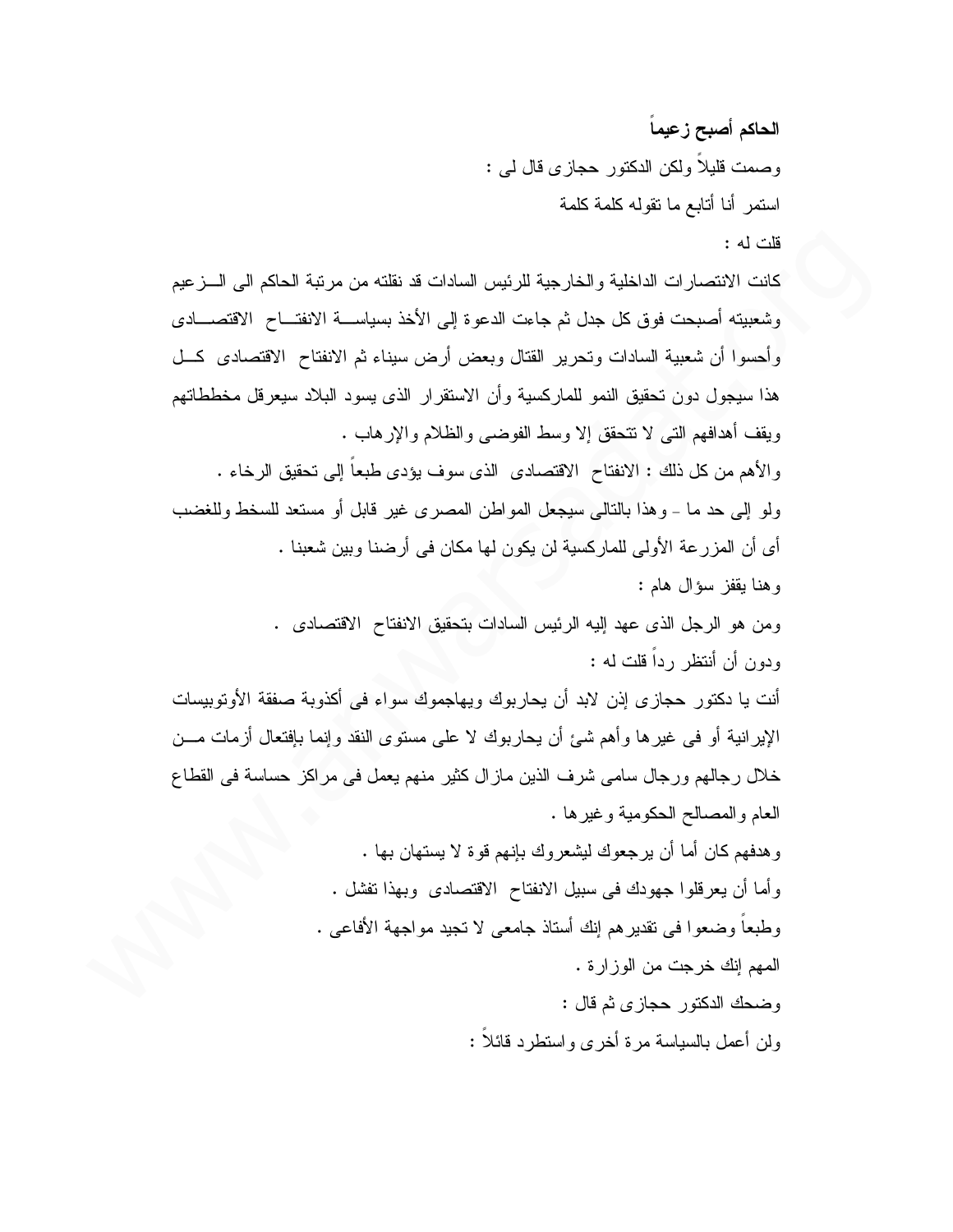الحاكم أصبح زعيماً وصمت قليلاً ولكن الدكتور حجازى قال لمي : استمر أنا أتابع ما نقوله كلمة كلمة قلت له :

كانت الانتصار ات الداخلية والخارجية للرئيس السادات قد نقلته من مرتبة الحاكم الى الــــز عيم وشعبيته أصبحت فوق كل جدل ثم جاءت الدعوة إلى الأخذ بسياســـة الانفتــــاح الاقتصــــادي وأحسوا أن شعبية السادات وتحرير القتال وبعض أرض سيناء ثم الانفتاح الاقتصادى كـــل هذا سيجول دون تحقيق النمو للماركسية وأن الاستقرار الذي يسود البلاد سيعرقل مخططاتهم ويقف أهدافهم التي لا تتحقق إلا وسط الفوضى والظلام والإرهاب . والأهم من كل ذلك : الانفتاح الاقتصادي الذي سوف بؤدي طبعاً إلى تحقيق الرخاء . ولو إلى حد ما - وهذا بالتالي سيجعل المواطن المصرى غير قابل أو مستعد للسخط وللغضب أى أن المزرعة الأولى للماركسية لن يكون لها مكان في أرضنا وبين شعبنا . وهنا يقفز سؤال هام:

ومن هو الرجل الذي عهد إليه الرئيس السادات بتحقيق الانفتاح الاقتصادي . ودون أن أنتظر ( داً قلت له :

أنت يا دكتور حجاز ي إذن لابد أن يحاربوك ويهاجموك سواء في أكذوبة صفقة الأوتوبيسات الإيرانية أو في غيرها وأهم شيئ أن يحاربوك لا على مستوى النقد وإنما بإفتعال أزمات مـــن خلال رجالهم ورجال سامي شرف الذين ماز ال كثير منهم يعمل في مراكز حساسة في القطاع العام والمصالح الحكومية وغيرها .

> وهدفهم كان أما أن يرجعوك ليشعروك بإنهم قوة لا يستهان بها . وأما أن يعرفلوا جهودك في سبيل الانفتاح الاقتصادي وبهذا تفشل . وطبعاً وضعوا في نقدير هم إنك أستاذ جامعي لا نجيد مواجهة الأفاعي . المهم إنك خرجت من الوزارة . وضحك الدكتور حجازي ثم قال :

ولن أعمل بالسياسة مرة أخرى واستطرد فائلاً :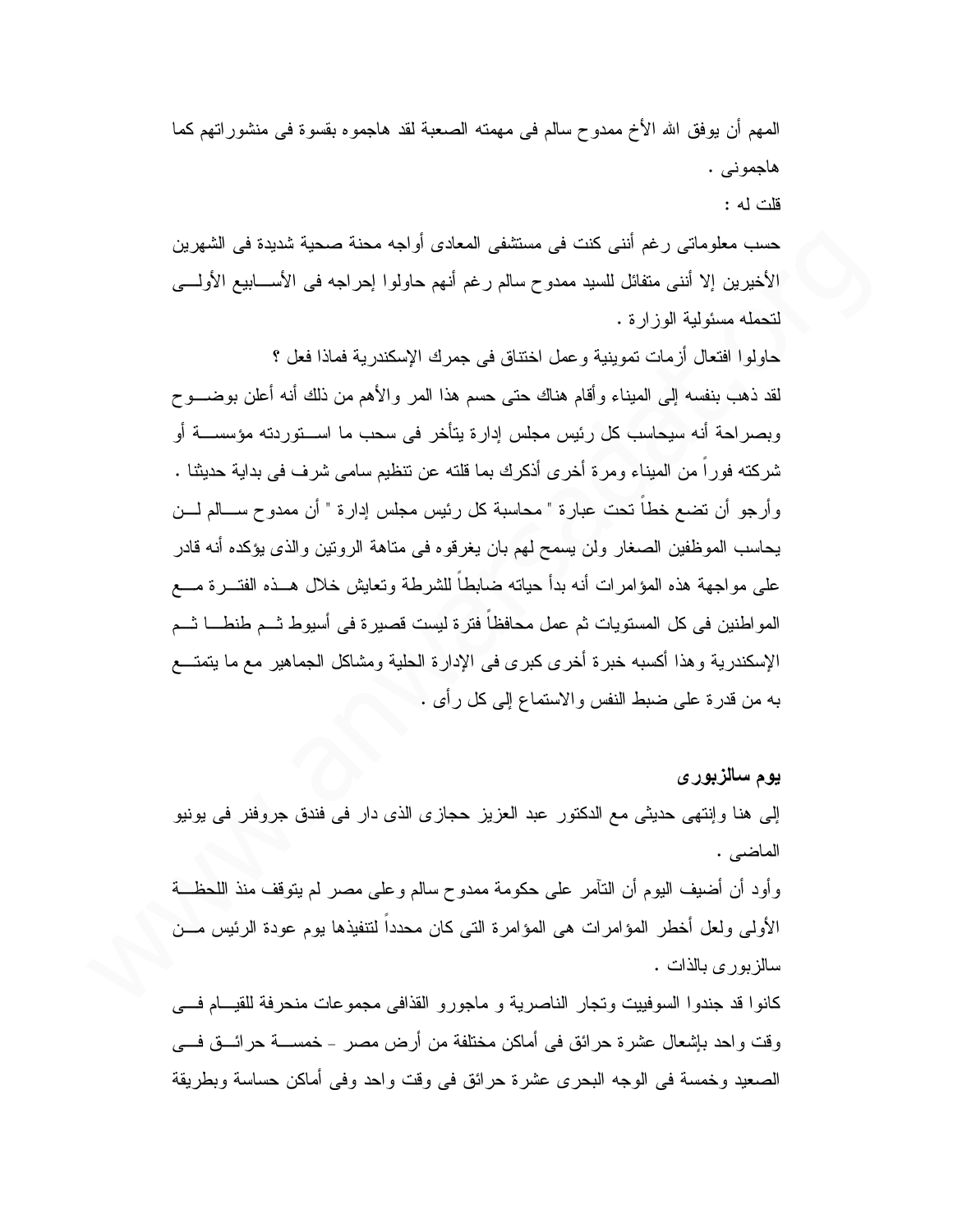المهم أن يوفِّق الله الأخ ممدوح سالم في مهمته الصعبة لقد هاجموه بقسوة في منشوراتهم كما هاجموني . قات له :

حسب معلوماتي رغم أنني كنت في مستشفى المعادي أواجه محنة صحبة شديدة في الشهرين الأخيرين إلا أنني متفائل للسيد ممدوح سالم رغم أنهم حاولوا إحراجه في الأســــابيع الأولــــي لتحمله مسئولية الوزارة.

حاولوا افتعال أزمات تموينية وعمل اختناق في جمرك الإسكندرية فماذا فعل ؟ لقد ذهب بنفسه إلى الميناء وأقام هناك حتى حسم هذا المر والأهم من ذلك أنه أعلن بوضـــو ح وبصراحة أنه سيحاسب كل رئيس مجلس إدارة يتأخر في سحب ما اســـتوردته مؤسســـة أو شركته فوراً من الميناء ومرة أخرى أذكرك بما قلته عن نتظيم سامي شرف في بداية حديثنا . وأرجو أن نضع خطا نحت عبارة " محاسبة كل رئيس مجلس إدارة " أن ممدوح ســـالم لــــن يحاسب الموظفين الصغار ولن يسمح لهم بان يغرقوه في مناهة الرونين والذي يؤكده أنه قادر على مو اجهة هذه المؤامر ات أنه بدأ حياته ضابطاً للشرطة وتعايش خلال هــذه الفتـــر ة مــــع المو اطنين في كل المستويات ثم عمل محافظا فتر ة ليست قصير ة في أسيوط ثـــم طنطــــا ثـــم الإسكندرية و هذا أكسبه خبر ة أخر ي كبر ي في الإدار ة الحلية ومشاكل الجماهير ٍ مع ما يتمتــع به من قدرة على ضبط النفس والاستماع إلى كل رأى .

يوم سالزبور ي

إلى هنا وإنتهى حديثي مع الدكتور عبد العزيز حجازي الذي دار في فندق جروفنر في يونيو الماضى .

وأود أن أضيف اليوم أن النَّامر على حكومة ممدوح سالم وعلى مصر لم يتوقف منذ اللحظـــة الأولى ولعل أخطر المؤامرات هي المؤامرة التي كان محدداً لتتفيذها يوم عودة الرئيس مـــن سالزبوري بالذات .

كانوا قد جندوا السوفييت وتجار الناصرية و ماجورو القذافي مجموعات منحرفة للقيسام فسي وقت واحد بإشعال عشرة حرائق في أماكن مختلفة من أرض مصر – خمســـة حرائـــق فــــي الصعيد وخمسة في الوجه البحري عشرة حرائق في وقت واحد وفي أماكن حساسة وبطريقة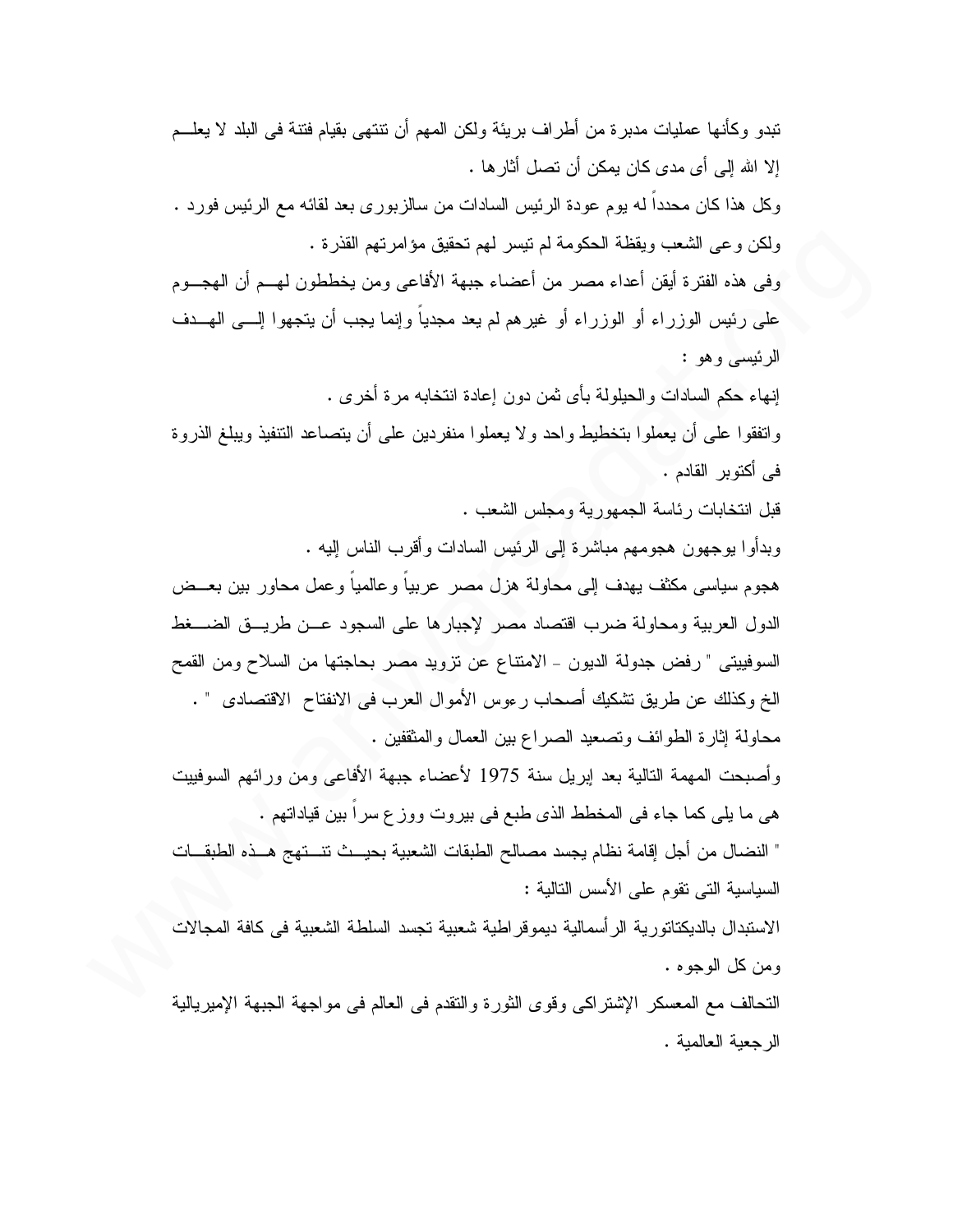تبدو و كأنها عمليات مدبر ة من أطر اف بر يئة و لكن المهم أن تتتهى بقيام فتنة في البلد لا يعلـــم إلا الله إلى أي مدى كان يمكن أن تصل أثارها . وكل هذا كان محدداً له يوم عودة الرئيس السادات من سالزبوري بعد لقائه مع الرئيس فورد . ولكن وعي الشعب ويقظة الحكومة لم نيسر لمهم نحقيق مؤامرتهم القذرة . وفي هذه الفترة أيقن أعداء مصر من أعضاء جبهة الأفاعي ومن يخططون لهـــم أن الهجـــوم على رئيس الوزراء أو الوزراء أو غيرهم لم يعد مجدياً وإنما يجب أن يتجهوا إلـــي الـهـــدف الرئيسي وهو : إنهاء حكم السادات و الحيلولة بأي ثمن دون إعادة انتخابه مر ة أخر ي . واتفقوا على أن يعملوا بتخطيط واحد ولا يعملوا منفردين على أن يتصاعد التنفيذ ويبلغ الذروة في أكتوبر القادم . قبل انتخابات رئاسة الجمهورية ومجلس الشعب . وبدأوا بوجهون هجومهم مباشرة إلى الرئيس السادات وأقرب الناس إليه . هجوم سياسي مكثف يهدف إلى محاولة هزل مصر عربياً و عالمياً و عمل محاور بين بعــض الدول العربية ومحاولة ضرب اقتصاد مصر لإجبارها على السجود عـن طريــق الضـــغط السوفييتي " رفض جدولة الديون - الامتناع عن نزويد مصر بحاجتها من السلاح ومن القمح الخ وكذلك عن طريق نشكيك أصحاب رءوس الأموال العرب في الانفناح الاقتصادي " . محاولة إثارة الطوائف وتصعيد الصراع بين العمال والمثقفين . وأصبحت المهمة النالية بعد إبريل سنة 1975 لأعضاء جبهة الأفاعي ومن ورائهم السوفييت هي ما يلي كما جاء في المخطط الذي طبع في بيروت ووزع سرا بين قياداتهم . " النضال من أجل إقامة نظام يجسد مصالح الطبقات الشعبية بحيــث تتــتهج هــذه الطبقــات السياسية التي تقوم على الأسس التالية : الاستبدال بالديكتاتورية الرأسمالية ديموقراطية شعبية تجسد السلطة الشعبية في كافة المجالات و من كل الوجو ه .

النَّحالف مع المعسكر الإشتراكي وقوى الثورة والنُّقدم في العالم في مواجهة الجبهة الإميريالية الرجعبة العالمبة.